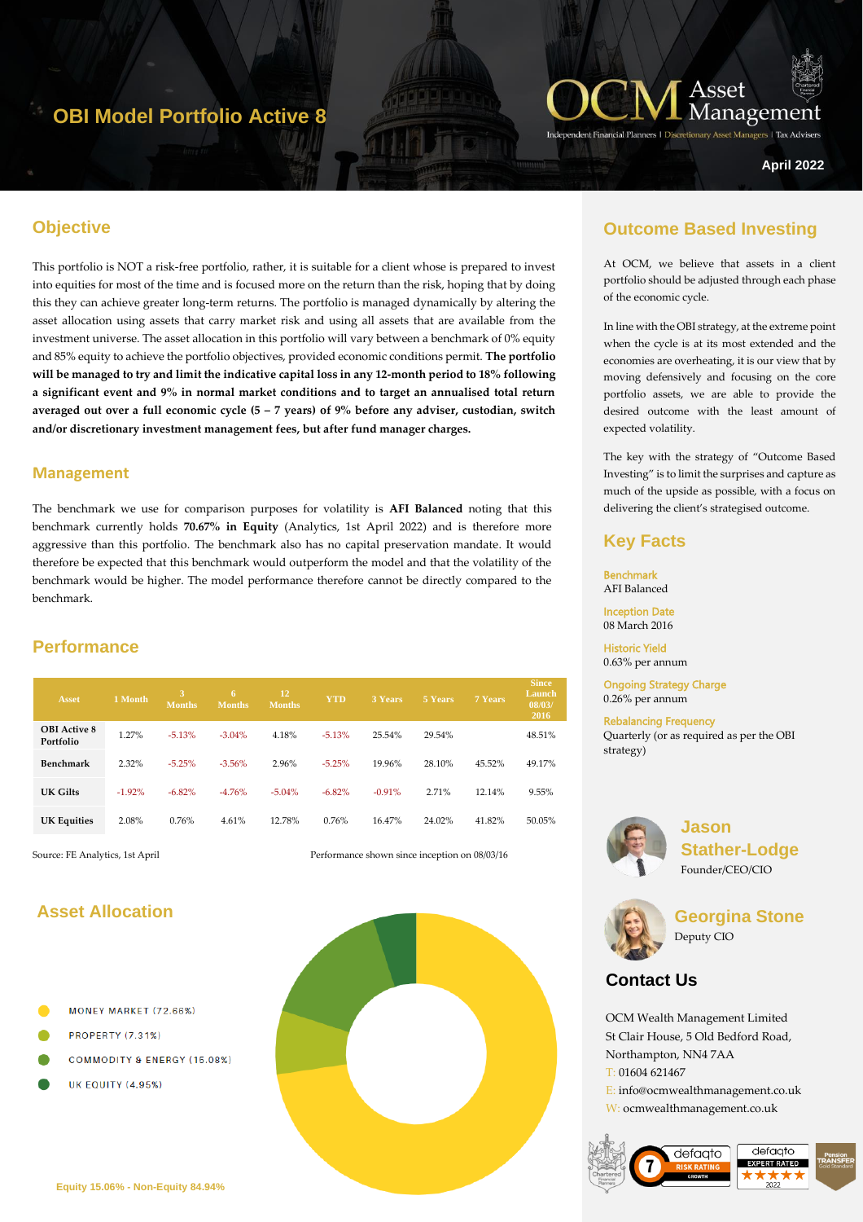# **OBI Model Portfolio Active 8**



Managers | Tax Adviser

**April 2022**

## **Objective**

This portfolio is NOT a risk-free portfolio, rather, it is suitable for a client whose is prepared to invest into equities for most of the time and is focused more on the return than the risk, hoping that by doing this they can achieve greater long-term returns. The portfolio is managed dynamically by altering the asset allocation using assets that carry market risk and using all assets that are available from the investment universe. The asset allocation in this portfolio will vary between a benchmark of 0% equity and 85% equity to achieve the portfolio objectives, provided economic conditions permit. **The portfolio will be managed to try and limit the indicative capital loss in any 12-month period to 18% following a significant event and 9% in normal market conditions and to target an annualised total return averaged out over a full economic cycle (5 – 7 years) of 9% before any adviser, custodian, switch and/or discretionary investment management fees, but after fund manager charges.** 

#### **Management**

The benchmark we use for comparison purposes for volatility is **AFI Balanced** noting that this benchmark currently holds **70.67% in Equity** (Analytics, 1st April 2022) and is therefore more aggressive than this portfolio. The benchmark also has no capital preservation mandate. It would therefore be expected that this benchmark would outperform the model and that the volatility of the benchmark would be higher. The model performance therefore cannot be directly compared to the benchmark.

## **Performance**

| <b>Asset</b>                     | 1 Month  | 3<br><b>Months</b> | 6<br><b>Months</b> | 12<br><b>Months</b> | <b>YTD</b> | <b>3 Years</b> | 5 Years | <b>7 Years</b> | <b>Since</b><br>Launch<br>08/03/<br>2016 |
|----------------------------------|----------|--------------------|--------------------|---------------------|------------|----------------|---------|----------------|------------------------------------------|
| <b>OBI</b> Active 8<br>Portfolio | 1.27%    | $-5.13%$           | $-3.04\%$          | 4.18%               | $-5.13%$   | 25.54%         | 29.54%  |                | 48.51%                                   |
| Benchmark                        | 2.32%    | $-5.25%$           | $-3.56%$           | 2.96%               | $-5.25%$   | 19.96%         | 28.10%  | 45.52%         | 49.17%                                   |
| UK Gilts                         | $-1.92%$ | $-6.82%$           | $-4.76%$           | $-5.04%$            | $-6.82%$   | $-0.91%$       | 2.71%   | 12.14%         | 9.55%                                    |
| <b>UK Equities</b>               | 2.08%    | 0.76%              | 4.61%              | 12.78%              | 0.76%      | 16.47%         | 24.02%  | 41.82%         | 50.05%                                   |

Source: FE Analytics, 1st April Performance shown since inception on 08/03/16

## **Asset Allocation**

- MONEY MARKET (72.66%)
- **PROPERTY (7.31%)**
- **COMMODITY & ENERGY (15.08%)**
- **UK EQUITY (4.95%)**



## **Outcome Based Investing**

At OCM, we believe that assets in a client portfolio should be adjusted through each phase of the economic cycle.

In line with the OBI strategy, at the extreme point when the cycle is at its most extended and the economies are overheating, it is our view that by moving defensively and focusing on the core portfolio assets, we are able to provide the desired outcome with the least amount of expected volatility.

The key with the strategy of "Outcome Based Investing" is to limit the surprises and capture as much of the upside as possible, with a focus on delivering the client's strategised outcome.

### **Key Facts**

Benchmark AFI Balanced Inception Date

08 March 2016

Historic Yield 0.63% per annum

Ongoing Strategy Charge 0.26% per annum

Rebalancing Frequency Quarterly (or as required as per the OBI strategy)



**Jason Stather-Lodge** Founder/CEO/CIO



**Georgina Stone** Deputy CIO

## **Contact Us**

OCM Wealth Management Limited St Clair House, 5 Old Bedford Road, Northampton, NN4 7AA T: 01604 621467 E: info@ocmwealthmanagement.co.uk W: ocmwealthmanagement.co.uk